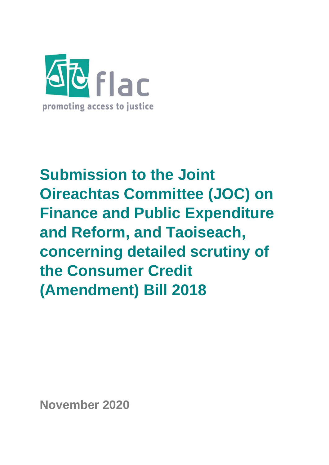

# **Submission to the Joint Oireachtas Committee (JOC) on Finance and Public Expenditure and Reform, and Taoiseach, concerning detailed scrutiny of the Consumer Credit (Amendment) Bill 2018**

**November 2020**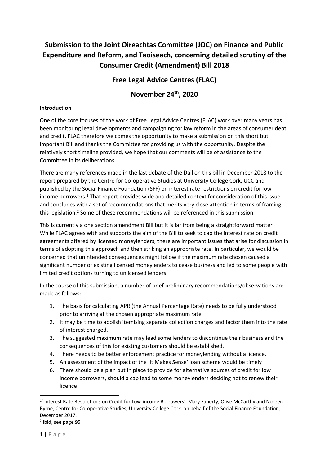# **Submission to the Joint Oireachtas Committee (JOC) on Finance and Public Expenditure and Reform, and Taoiseach, concerning detailed scrutiny of the Consumer Credit (Amendment) Bill 2018**

# **Free Legal Advice Centres (FLAC)**

# **November 24th, 2020**

#### **Introduction**

One of the core focuses of the work of Free Legal Advice Centres (FLAC) work over many years has been monitoring legal developments and campaigning for law reform in the areas of consumer debt and credit. FLAC therefore welcomes the opportunity to make a submission on this short but important Bill and thanks the Committee for providing us with the opportunity. Despite the relatively short timeline provided, we hope that our comments will be of assistance to the Committee in its deliberations.

There are many references made in the last debate of the Dáil on this bill in December 2018 to the report prepared by the Centre for Co-operative Studies at University College Cork, UCC and published by the Social Finance Foundation (SFF) on interest rate restrictions on credit for low income borrowers.<sup>1</sup> That report provides wide and detailed context for consideration of this issue and concludes with a set of recommendations that merits very close attention in terms of framing this legislation. <sup>2</sup> Some of these recommendations will be referenced in this submission.

This is currently a one section amendment Bill but it is far from being a straightforward matter. While FLAC agrees with and supports the aim of the Bill to seek to cap the interest rate on credit agreements offered by licensed moneylenders, there are important issues that arise for discussion in terms of adopting this approach and then striking an appropriate rate. In particular, we would be concerned that unintended consequences might follow if the maximum rate chosen caused a significant number of existing licensed moneylenders to cease business and led to some people with limited credit options turning to unlicensed lenders.

In the course of this submission, a number of brief preliminary recommendations/observations are made as follows:

- 1. The basis for calculating APR (the Annual Percentage Rate) needs to be fully understood prior to arriving at the chosen appropriate maximum rate
- 2. It may be time to abolish itemising separate collection charges and factor them into the rate of interest charged.
- 3. The suggested maximum rate may lead some lenders to discontinue their business and the consequences of this for existing customers should be established.
- 4. There needs to be better enforcement practice for moneylending without a licence.
- 5. An assessment of the impact of the 'It Makes Sense' loan scheme would be timely
- 6. There should be a plan put in place to provide for alternative sources of credit for low income borrowers, should a cap lead to some moneylenders deciding not to renew their licence

<sup>&</sup>lt;sup>1</sup>' Interest Rate Restrictions on Credit for Low-income Borrowers', Mary Faherty, Olive McCarthy and Noreen Byrne, Centre for Co-operative Studies, University College Cork on behalf of the Social Finance Foundation, December 2017.

<sup>2</sup> Ibid, see page 95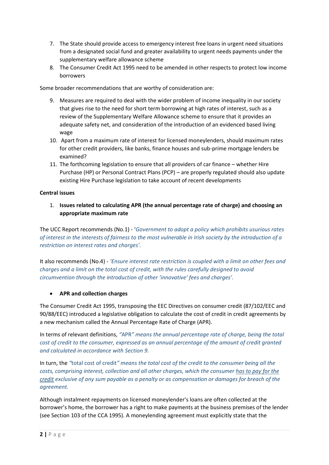- 7. The State should provide access to emergency interest free loans in urgent need situations from a designated social fund and greater availability to urgent needs payments under the supplementary welfare allowance scheme
- 8. The Consumer Credit Act 1995 need to be amended in other respects to protect low income borrowers

Some broader recommendations that are worthy of consideration are:

- 9. Measures are required to deal with the wider problem of income inequality in our society that gives rise to the need for short term borrowing at high rates of interest, such as a review of the Supplementary Welfare Allowance scheme to ensure that it provides an adequate safety net, and consideration of the introduction of an evidenced based living wage
- 10. Apart from a maximum rate of interest for licensed moneylenders, should maximum rates for other credit providers, like banks, finance houses and sub-prime mortgage lenders be examined?
- 11. The forthcoming legislation to ensure that all providers of car finance whether Hire Purchase (HP) or Personal Contract Plans (PCP) – are properly regulated should also update existing Hire Purchase legislation to take account of recent developments

#### **Central issues**

1. **Issues related to calculating APR (the annual percentage rate of charge) and choosing an appropriate maximum rate**

The UCC Report recommends (No.1) - '*Government to adopt a policy which prohibits usurious rates of interest in the interests of fairness to the most vulnerable in Irish society by the introduction of a restriction on interest rates and charges'.* 

It also recommends (No.4) - *'Ensure interest rate restriction is coupled with a limit on other fees and charges and a limit on the total cost of credit, with the rules carefully designed to avoid circumvention through the introduction of other 'innovative' fees and charges'.*

#### • **APR and collection charges**

The Consumer Credit Act 1995, transposing the EEC Directives on consumer credit (87/102/EEC and 90/88/EEC) introduced a legislative obligation to calculate the cost of credit in credit agreements by a new mechanism called the Annual Percentage Rate of Charge (APR).

In terms of relevant definitions, *"*APR*" means the annual percentage rate of charge, being the total cost of credit to the consumer, expressed as an annual percentage of the amount of credit granted and calculated in accordance with [Section 9.](https://revisedacts.lawreform.ie/eli/1995/act/24/section/9/revised/en/html)*

In turn, the *"*total cost of credit*" means the total cost of the credit to the consumer being all the costs, comprising interest, collection and all other charges, which the consumer has to pay for the credit exclusive of any sum payable as a penalty or as compensation or damages for breach of the agreement.*

Although instalment repayments on licensed moneylender's loans are often collected at the borrower's home, the borrower has a right to make payments at the business premises of the lender (see Section 103 of the CCA 1995). A moneylending agreement must explicitly state that the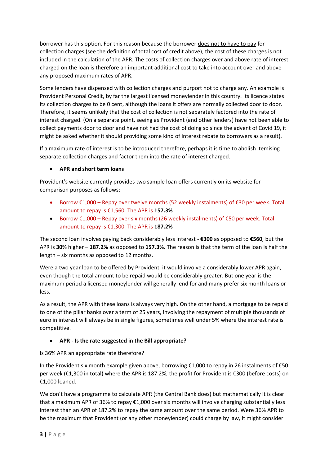borrower has this option. For this reason because the borrower does not to have to pay for collection charges (see the definition of total cost of credit above), the cost of these charges is not included in the calculation of the APR. The costs of collection charges over and above rate of interest charged on the loan is therefore an important additional cost to take into account over and above any proposed maximum rates of APR.

Some lenders have dispensed with collection charges and purport not to charge any. An example is Provident Personal Credit, by far the largest licensed moneylender in this country. Its licence states its collection charges to be 0 cent, although the loans it offers are normally collected door to door. Therefore, it seems unlikely that the cost of collection is not separately factored into the rate of interest charged. (On a separate point, seeing as Provident (and other lenders) have not been able to collect payments door to door and have not had the cost of doing so since the advent of Covid 19, it might be asked whether it should providing some kind of interest rebate to borrowers as a result).

If a maximum rate of interest is to be introduced therefore, perhaps it is time to abolish itemising separate collection charges and factor them into the rate of interest charged.

# • **APR and short term loans**

Provident's website currently provides two sample loan offers currently on its website for comparison purposes as follows:

- Borrow €1,000 Repay over twelve months (52 weekly instalments) of €30 per week. Total amount to repay is €1,560. The APR is **157.3%**
- Borrow  $\epsilon$ 1,000 Repay over six months (26 weekly instalments) of  $\epsilon$ 50 per week. Total amount to repay is €1,300. The APR is **187.2%**

The second loan involves paying back considerably less interest - **€300** as opposed to **€560**, but the APR is **30%** higher – **187.2%** as opposed to **157.3%.** The reason is that the term of the loan is half the length – six months as opposed to 12 months.

Were a two year loan to be offered by Provident, it would involve a considerably lower APR again, even though the total amount to be repaid would be considerably greater. But one year is the maximum period a licensed moneylender will generally lend for and many prefer six month loans or less.

As a result, the APR with these loans is always very high. On the other hand, a mortgage to be repaid to one of the pillar banks over a term of 25 years, involving the repayment of multiple thousands of euro in interest will always be in single figures, sometimes well under 5% where the interest rate is competitive.

# • **APR - Is the rate suggested in the Bill appropriate?**

Is 36% APR an appropriate rate therefore?

In the Provident six month example given above, borrowing €1,000 to repay in 26 instalments of €50 per week (€1,300 in total) where the APR is 187.2%, the profit for Provident is €300 (before costs) on €1,000 loaned.

We don't have a programme to calculate APR (the Central Bank does) but mathematically it is clear that a maximum APR of 36% to repay €1,000 over six months will involve charging substantially less interest than an APR of 187.2% to repay the same amount over the same period. Were 36% APR to be the maximum that Provident (or any other moneylender) could charge by law, it might consider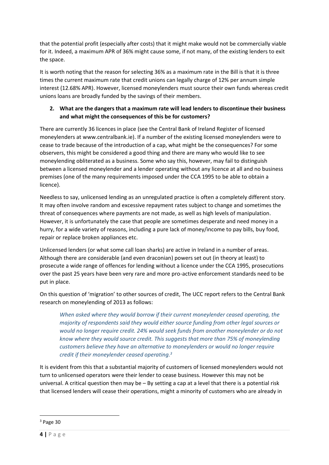that the potential profit (especially after costs) that it might make would not be commercially viable for it. Indeed, a maximum APR of 36% might cause some, if not many, of the existing lenders to exit the space.

It is worth noting that the reason for selecting 36% as a maximum rate in the Bill is that it is three times the current maximum rate that credit unions can legally charge of 12% per annum simple interest (12.68% APR). However, licensed moneylenders must source their own funds whereas credit unions loans are broadly funded by the savings of their members.

## **2. What are the dangers that a maximum rate will lead lenders to discontinue their business and what might the consequences of this be for customers?**

There are currently 36 licences in place (see the Central Bank of Ireland Register of licensed moneylenders at www.centralbank.ie). If a number of the existing licensed moneylenders were to cease to trade because of the introduction of a cap, what might be the consequences? For some observers, this might be considered a good thing and there are many who would like to see moneylending obliterated as a business. Some who say this, however, may fail to distinguish between a licensed moneylender and a lender operating without any licence at all and no business premises (one of the many requirements imposed under the CCA 1995 to be able to obtain a licence).

Needless to say, unlicensed lending as an unregulated practice is often a completely different story. It may often involve random and excessive repayment rates subject to change and sometimes the threat of consequences where payments are not made, as well as high levels of manipulation. However, it is unfortunately the case that people are sometimes desperate and need money in a hurry, for a wide variety of reasons, including a pure lack of money/income to pay bills, buy food, repair or replace broken appliances etc.

Unlicensed lenders (or what some call loan sharks) are active in Ireland in a number of areas. Although there are considerable (and even draconian) powers set out (in theory at least) to prosecute a wide range of offences for lending without a licence under the CCA 1995, prosecutions over the past 25 years have been very rare and more pro-active enforcement standards need to be put in place.

On this question of 'migration' to other sources of credit, The UCC report refers to the Central Bank research on moneylending of 2013 as follows:

*When asked where they would borrow if their current moneylender ceased operating, the majority of respondents said they would either source funding from other legal sources or would no longer require credit. 24% would seek funds from another moneylender or do not know where they would source credit. This suggests that more than 75% of moneylending customers believe they have an alternative to moneylenders or would no longer require credit if their moneylender ceased operating.<sup>3</sup>*

It is evident from this that a substantial majority of customers of licensed moneylenders would not turn to unlicensed operators were their lender to cease business. However this may not be universal. A critical question then may be – By setting a cap at a level that there is a potential risk that licensed lenders will cease their operations, might a minority of customers who are already in

 $3$  Page 30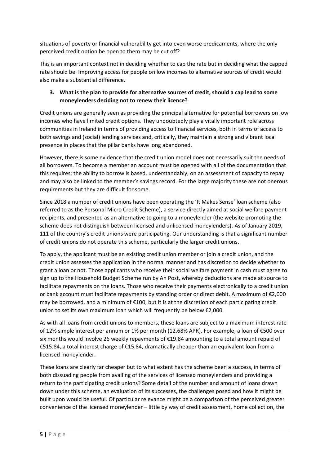situations of poverty or financial vulnerability get into even worse predicaments, where the only perceived credit option be open to them may be cut off?

This is an important context not in deciding whether to cap the rate but in deciding what the capped rate should be. Improving access for people on low incomes to alternative sources of credit would also make a substantial difference.

# **3. What is the plan to provide for alternative sources of credit, should a cap lead to some moneylenders deciding not to renew their licence?**

Credit unions are generally seen as providing the principal alternative for potential borrowers on low incomes who have limited credit options. They undoubtedly play a vitally important role across communities in Ireland in terms of providing access to financial services, both in terms of access to both savings and (social) lending services and, critically, they maintain a strong and vibrant local presence in places that the pillar banks have long abandoned.

However, there is some evidence that the credit union model does not necessarily suit the needs of all borrowers. To become a member an account must be opened with all of the documentation that this requires; the ability to borrow is based, understandably, on an assessment of capacity to repay and may also be linked to the member's savings record. For the large majority these are not onerous requirements but they are difficult for some.

Since 2018 a number of credit unions have been operating the 'It Makes Sense' loan scheme (also referred to as the Personal Micro Credit Scheme), a service directly aimed at social welfare payment recipients, and presented as an alternative to going to a moneylender (the website promoting the scheme does not distinguish between licensed and unlicensed moneylenders). As of January 2019, 111 of the country's credit unions were participating. Our understanding is that a significant number of credit unions do not operate this scheme, particularly the larger credit unions.

To apply, the applicant must be an existing credit union member or join a credit union, and the credit union assesses the application in the normal manner and has discretion to decide whether to grant a loan or not. Those applicants who receive their social welfare payment in cash must agree to sign up to the Household Budget Scheme run by An Post, whereby deductions are made at source to facilitate repayments on the loans. Those who receive their payments electronically to a credit union or bank account must facilitate repayments by standing order or direct debit. A maximum of €2,000 may be borrowed, and a minimum of €100, but it is at the discretion of each participating credit union to set its own maximum loan which will frequently be below €2,000.

As with all loans from credit unions to members, these loans are subject to a maximum interest rate of 12% simple interest per annum or 1% per month (12.68% APR). For example, a loan of €500 over six months would involve 26 weekly repayments of €19.84 amounting to a total amount repaid of €515.84, a total interest charge of €15.84, dramatically cheaper than an equivalent loan from a licensed moneylender.

These loans are clearly far cheaper but to what extent has the scheme been a success, in terms of both dissuading people from availing of the services of licensed moneylenders and providing a return to the participating credit unions? Some detail of the number and amount of loans drawn down under this scheme, an evaluation of its successes, the challenges posed and how it might be built upon would be useful. Of particular relevance might be a comparison of the perceived greater convenience of the licensed moneylender – little by way of credit assessment, home collection, the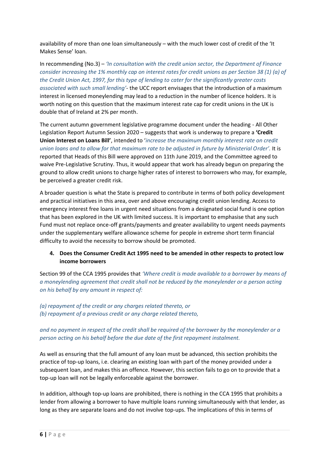availability of more than one loan simultaneously – with the much lower cost of credit of the 'It Makes Sense' loan.

In recommending (No.3) – *'In consultation with the credit union sector, the Department of Finance consider increasing the 1% monthly cap on interest rates for credit unions as per Section 38 (1) (a) of the Credit Union Act, 1997, for this type of lending to cater for the significantly greater costs associated with such small lending'*- the UCC report envisages that the introduction of a maximum interest in licensed moneylending may lead to a reduction in the number of licence holders. It is worth noting on this question that the maximum interest rate cap for credit unions in the UK is double that of Ireland at 2% per month.

The current autumn government legislative programme document under the heading - All Other Legislation Report Autumn Session 2020 – suggests that work is underway to prepare a **'Credit Union Interest on Loans Bill'**, intended to '*increase the maximum monthly interest rate on credit union loans and to allow for that maximum rate to be adjusted in future by Ministerial Order'.* It is reported that Heads of this Bill were approved on 11th June 2019, and the Committee agreed to waive Pre-Legislative Scrutiny. Thus, it would appear that work has already begun on preparing the ground to allow credit unions to charge higher rates of interest to borrowers who may, for example, be perceived a greater credit risk.

A broader question is what the State is prepared to contribute in terms of both policy development and practical initiatives in this area, over and above encouraging credit union lending. Access to emergency interest free loans in urgent need situations from a designated social fund is one option that has been explored in the UK with limited success. It is important to emphasise that any such Fund must not replace once-off grants/payments and greater availability to urgent needs payments under the supplementary welfare allowance scheme for people in extreme short term financial difficulty to avoid the necessity to borrow should be promoted.

### **4. Does the Consumer Credit Act 1995 need to be amended in other respects to protect low income borrowers**

Section 99 of the CCA 1995 provides that *'Where credit is made available to a borrower by means of a moneylending agreement that credit shall not be reduced by the moneylender or a person acting on his behalf by any amount in respect of:*

*(a) repayment of the credit or any charges related thereto, or (b) repayment of a previous credit or any charge related thereto,*

# *and no payment in respect of the credit shall be required of the borrower by the moneylender or a person acting on his behalf before the due date of the first repayment instalment.*

As well as ensuring that the full amount of any loan must be advanced, this section prohibits the practice of top-up loans, i.e. clearing an existing loan with part of the money provided under a subsequent loan, and makes this an offence. However, this section fails to go on to provide that a top-up loan will not be legally enforceable against the borrower.

In addition, although top-up loans are prohibited, there is nothing in the CCA 1995 that prohibits a lender from allowing a borrower to have multiple loans running simultaneously with that lender, as long as they are separate loans and do not involve top-ups. The implications of this in terms of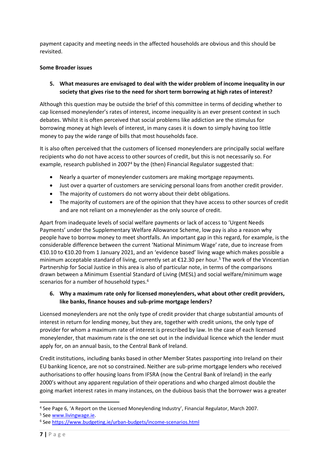payment capacity and meeting needs in the affected households are obvious and this should be revisited.

#### **Some Broader issues**

**5. What measures are envisaged to deal with the wider problem of income inequality in our society that gives rise to the need for short term borrowing at high rates of interest?**

Although this question may be outside the brief of this committee in terms of deciding whether to cap licensed moneylender's rates of interest, income inequality is an ever present context in such debates. Whilst it is often perceived that social problems like addiction are the stimulus for borrowing money at high levels of interest, in many cases it is down to simply having too little money to pay the wide range of bills that most households face.

It is also often perceived that the customers of licensed moneylenders are principally social welfare recipients who do not have access to other sources of credit, but this is not necessarily so. For example, research published in 2007<sup>4</sup> by the (then) Financial Regulator suggested that:

- Nearly a quarter of moneylender customers are making mortgage repayments.
- Just over a quarter of customers are servicing personal loans from another credit provider.
- The majority of customers do not worry about their debt obligations.
- The majority of customers are of the opinion that they have access to other sources of credit and are not reliant on a moneylender as the only source of credit.

Apart from inadequate levels of social welfare payments or lack of access to 'Urgent Needs Payments' under the Supplementary Welfare Allowance Scheme, low pay is also a reason why people have to borrow money to meet shortfalls. An important gap in this regard, for example, is the considerable difference between the current 'National Minimum Wage' rate, due to increase from €10.10 to €10.20 from 1 January 2021, and an 'evidence based' living wage which makes possible a minimum acceptable standard of living, currently set at €12.30 per hour.<sup>5</sup> The work of the Vincentian Partnership for Social Justice in this area is also of particular note, in terms of the comparisons drawn between a Minimum Essential Standard of Living (MESL) and social welfare/minimum wage scenarios for a number of household types.<sup>6</sup>

### **6. Why a maximum rate only for licensed moneylenders, what about other credit providers, like banks, finance houses and sub-prime mortgage lenders?**

Licensed moneylenders are not the only type of credit provider that charge substantial amounts of interest in return for lending money, but they are, together with credit unions, the only type of provider for whom a maximum rate of interest is prescribed by law. In the case of each licensed moneylender, that maximum rate is the one set out in the individual licence which the lender must apply for, on an annual basis, to the Central Bank of Ireland.

Credit institutions, including banks based in other Member States passporting into Ireland on their EU banking licence, are not so constrained. Neither are sub-prime mortgage lenders who received authorisations to offer housing loans from IFSRA (now the Central Bank of Ireland) in the early 2000's without any apparent regulation of their operations and who charged almost double the going market interest rates in many instances, on the dubious basis that the borrower was a greater

<sup>4</sup> See Page 6, 'A Report on the Licensed Moneylending Industry', Financial Regulator, March 2007.

<sup>5</sup> See [www.livingwage.ie.](http://www.livingwage.ie/)

<sup>6</sup> See<https://www.budgeting.ie/urban-budgets/income-scenarios.html>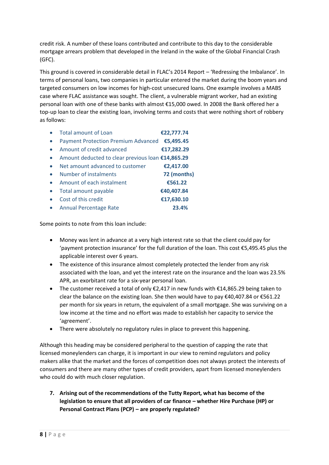credit risk. A number of these loans contributed and contribute to this day to the considerable mortgage arrears problem that developed in the Ireland in the wake of the Global Financial Crash (GFC).

This ground is covered in considerable detail in FLAC's 2014 Report – 'Redressing the Imbalance'. In terms of personal loans, two companies in particular entered the market during the boom years and targeted consumers on low incomes for high-cost unsecured loans. One example involves a MABS case where FLAC assistance was sought. The client, a vulnerable migrant worker, had an existing personal loan with one of these banks with almost €15,000 owed. In 2008 the Bank offered her a top-up loan to clear the existing loan, involving terms and costs that were nothing short of robbery as follows:

| <b>Total amount of Loan</b>                       | €22,777.74  |
|---------------------------------------------------|-------------|
| <b>Payment Protection Premium Advanced</b>        | €5,495.45   |
| Amount of credit advanced                         | €17,282.29  |
| Amount deducted to clear previous loan €14,865.29 |             |
| Net amount advanced to customer                   | €2,417.00   |
| Number of instalments                             | 72 (months) |
| Amount of each instalment                         | €561.22     |
| Total amount payable                              | €40,407.84  |
| Cost of this credit                               | €17,630.10  |
| <b>Annual Percentage Rate</b>                     | 23.4%       |

Some points to note from this loan include:

- Money was lent in advance at a very high interest rate so that the client could pay for 'payment protection insurance' for the full duration of the loan. This cost €5,495.45 plus the applicable interest over 6 years.
- The existence of this insurance almost completely protected the lender from any risk associated with the loan, and yet the interest rate on the insurance and the loan was 23.5% APR, an exorbitant rate for a six-year personal loan.
- The customer received a total of only €2,417 in new funds with €14,865.29 being taken to clear the balance on the existing loan. She then would have to pay €40,407.84 or €561.22 per month for six years in return, the equivalent of a small mortgage. She was surviving on a low income at the time and no effort was made to establish her capacity to service the 'agreement'.
- There were absolutely no regulatory rules in place to prevent this happening.

Although this heading may be considered peripheral to the question of capping the rate that licensed moneylenders can charge, it is important in our view to remind regulators and policy makers alike that the market and the forces of competition does not always protect the interests of consumers and there are many other types of credit providers, apart from licensed moneylenders who could do with much closer regulation.

**7. Arising out of the recommendations of the Tutty Report, what has become of the legislation to ensure that all providers of car finance – whether Hire Purchase (HP) or Personal Contract Plans (PCP) – are properly regulated?**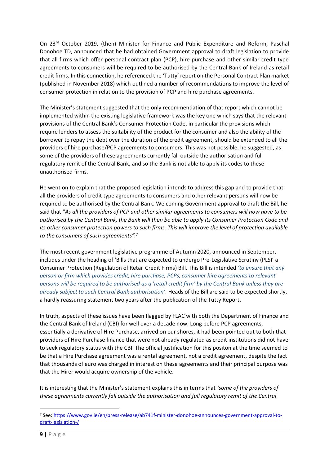On 23rd October 2019, (then) Minister for Finance and Public Expenditure and Reform, Paschal Donohoe TD, announced that he had obtained Government approval to draft legislation to provide that all firms which offer personal contract plan (PCP), hire purchase and other similar credit type agreements to consumers will be required to be authorised by the Central Bank of Ireland as retail credit firms. In this connection, he referenced the 'Tutty' report on the Personal Contract Plan market (published in November 2018) which outlined a number of recommendations to improve the level of consumer protection in relation to the provision of PCP and hire purchase agreements.

The Minister's statement suggested that the only recommendation of that report which cannot be implemented within the existing legislative framework was the key one which says that the relevant provisions of the Central Bank's Consumer Protection Code, in particular the provisions which require lenders to assess the suitability of the product for the consumer and also the ability of the borrower to repay the debt over the duration of the credit agreement, should be extended to all the providers of hire purchase/PCP agreements to consumers. This was not possible, he suggested, as some of the providers of these agreements currently fall outside the authorisation and full regulatory remit of the Central Bank, and so the Bank is not able to apply its codes to these unauthorised firms.

He went on to explain that the proposed legislation intends to address this gap and to provide that all the providers of credit type agreements to consumers and other relevant persons will now be required to be authorised by the Central Bank. Welcoming Government approval to draft the Bill, he said that "*As all the providers of PCP and other similar agreements to consumers will now have to be authorised by the Central Bank, the Bank will then be able to apply its Consumer Protection Code and its other consumer protection powers to such firms. This will improve the level of protection available to the consumers of such agreements".<sup>7</sup>*

The most recent government legislative programme of Autumn 2020, announced in September, includes under the heading of 'Bills that are expected to undergo Pre-Legislative Scrutiny (PLS)' a Consumer Protection (Regulation of Retail Credit Firms) Bill. This Bill is intended *'to ensure that any person or firm which provides credit, hire purchase, PCPs, consumer hire agreements to relevant persons will be required to be authorised as a 'retail credit firm' by the Central Bank unless they are already subject to such Central Bank authorisation'.* Heads of the Bill are said to be expected shortly, a hardly reassuring statement two years after the publication of the Tutty Report.

In truth, aspects of these issues have been flagged by FLAC with both the Department of Finance and the Central Bank of Ireland (CBI) for well over a decade now. Long before PCP agreements, essentially a derivative of Hire Purchase, arrived on our shores, it had been pointed out to both that providers of Hire Purchase finance that were not already regulated as credit institutions did not have to seek regulatory status with the CBI. The official justification for this positon at the time seemed to be that a Hire Purchase agreement was a rental agreement, not a credit agreement, despite the fact that thousands of euro was charged in interest on these agreements and their principal purpose was that the Hirer would acquire ownership of the vehicle.

It is interesting that the Minister's statement explains this in terms that *'some of the providers of these agreements currently fall outside the authorisation and full regulatory remit of the Central* 

<sup>7</sup> See: [https://www.gov.ie/en/press-release/ab741f-minister-donohoe-announces-government-approval-to](https://www.gov.ie/en/press-release/ab741f-minister-donohoe-announces-government-approval-to-draft-legislation-/)[draft-legislation-/](https://www.gov.ie/en/press-release/ab741f-minister-donohoe-announces-government-approval-to-draft-legislation-/)